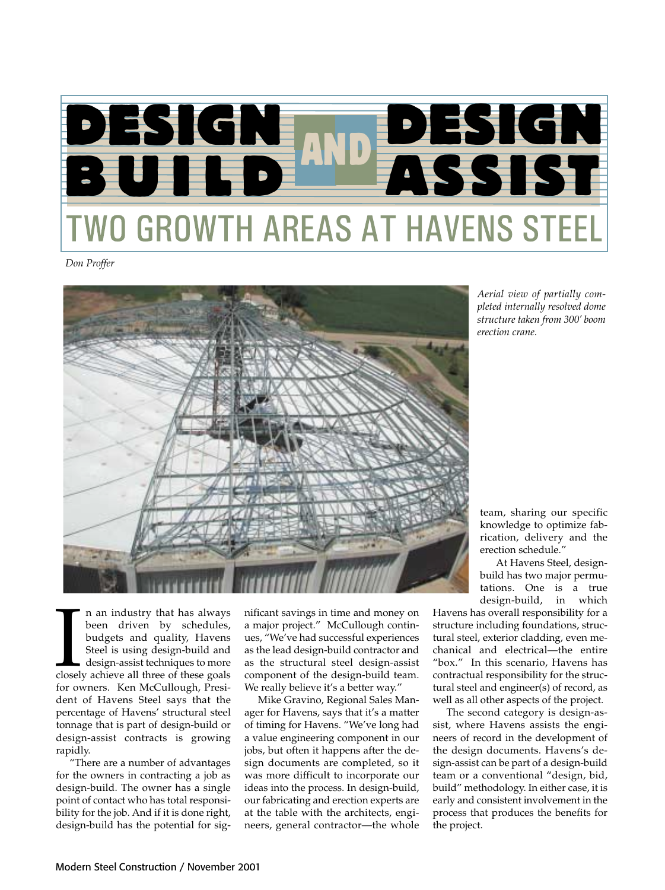

*Don Proffer*



*Aerial view of partially completed internally resolved dome structure taken from 300' boom erection crane.*

I am industry that has always<br>been driven by schedules,<br>budgets and quality, Havens<br>Steel is using design-build and<br>design-assist techniques to more<br>closely achieve all three of these goals<br>for owners. Ken McCullough Presi n an industry that has always been driven by schedules, budgets and quality, Havens Steel is using design-build and design-assist techniques to more for owners. Ken McCullough, President of Havens Steel says that the percentage of Havens' structural steel tonnage that is part of design-build or design-assist contracts is growing rapidly.

"There are a number of advantages for the owners in contracting a job as design-build. The owner has a single point of contact who has total responsibility for the job. And if it is done right, design-build has the potential for significant savings in time and money on a major project." McCullough continues, "We've had successful experiences as the lead design-build contractor and as the structural steel design-assist component of the design-build team. We really believe it's a better way."

Mike Gravino, Regional Sales Manager for Havens, says that it's a matter of timing for Havens. "We've long had a value engineering component in our jobs, but often it happens after the design documents are completed, so it was more difficult to incorporate our ideas into the process. In design-build, our fabricating and erection experts are at the table with the architects, engineers, general contractor—the whole

team, sharing our specific knowledge to optimize fabrication, delivery and the erection schedule."

At Havens Steel, designbuild has two major permutations. One is a true<br>design-build, in which design-build,

Havens has overall responsibility for a structure including foundations, structural steel, exterior cladding, even mechanical and electrical—the entire "box." In this scenario, Havens has contractual responsibility for the structural steel and engineer(s) of record, as well as all other aspects of the project.

The second category is design-assist, where Havens assists the engineers of record in the development of the design documents. Havens's design-assist can be part of a design-build team or a conventional "design, bid, build" methodology. In either case, it is early and consistent involvement in the process that produces the benefits for the project.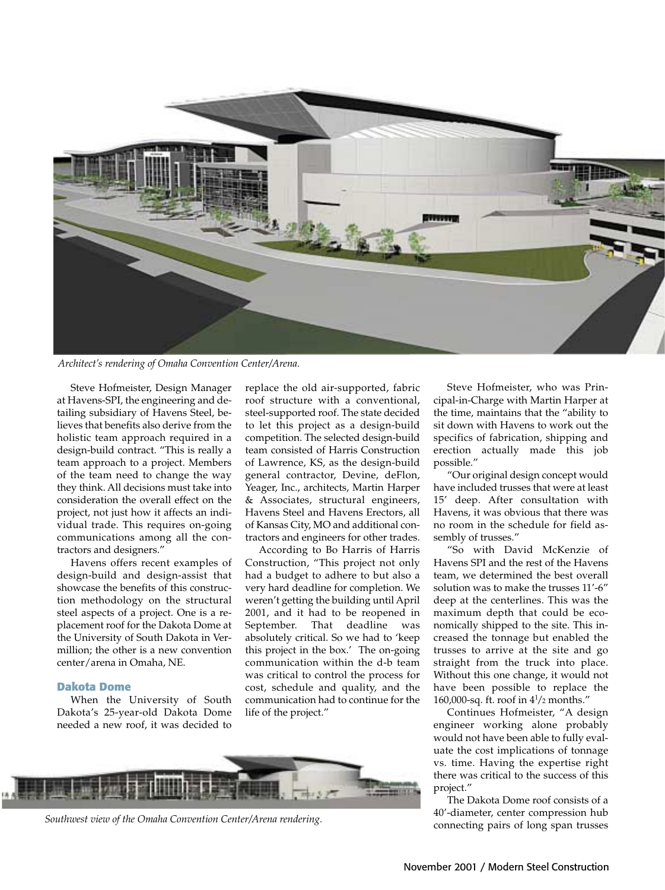

*Architect's rendering of Omaha Convention Center/Arena.*

Steve Hofmeister, Design Manager at Havens-SPI, the engineering and detailing subsidiary of Havens Steel, believes that benefits also derive from the holistic team approach required in a design-build contract. "This is really a team approach to a project. Members of the team need to change the way they think. All decisions must take into consideration the overall effect on the project, not just how it affects an individual trade. This requires on-going communications among all the contractors and designers."

Havens offers recent examples of design-build and design-assist that showcase the benefits of this construction methodology on the structural steel aspects of a project. One is a replacement roof for the Dakota Dome at the University of South Dakota in Vermillion; the other is a new convention center/arena in Omaha, NE.

#### **Dakota Dome**

When the University of South Dakota's 25-year-old Dakota Dome needed a new roof, it was decided to

replace the old air-supported, fabric roof structure with a conventional, steel-supported roof. The state decided to let this project as a design-build competition. The selected design-build team consisted of Harris Construction of Lawrence, KS, as the design-build general contractor, Devine, deFlon, Yeager, Inc., architects, Martin Harper & Associates, structural engineers, Havens Steel and Havens Erectors, all of Kansas City, MO and additional contractors and engineers for other trades.

According to Bo Harris of Harris Construction, "This project not only had a budget to adhere to but also a very hard deadline for completion. We weren't getting the building until April 2001, and it had to be reopened in September. That deadline was absolutely critical. So we had to 'keep this project in the box.' The on-going communication within the d-b team was critical to control the process for cost, schedule and quality, and the communication had to continue for the life of the project."

*Southwest view of the Omaha Convention Center/Arena rendering.*

Steve Hofmeister, who was Principal-in-Charge with Martin Harper at the time, maintains that the "ability to sit down with Havens to work out the specifics of fabrication, shipping and erection actually made this job possible."

"Our original design concept would have included trusses that were at least 15' deep. After consultation with Havens, it was obvious that there was no room in the schedule for field assembly of trusses."

"So with David McKenzie of Havens SPI and the rest of the Havens team, we determined the best overall solution was to make the trusses 11'-6" deep at the centerlines. This was the maximum depth that could be economically shipped to the site. This increased the tonnage but enabled the trusses to arrive at the site and go straight from the truck into place. Without this one change, it would not have been possible to replace the 160,000-sq. ft. roof in  $4\frac{1}{2}$  months."

Continues Hofmeister, "A design engineer working alone probably would not have been able to fully evaluate the cost implications of tonnage vs. time. Having the expertise right there was critical to the success of this project."

The Dakota Dome roof consists of a 40'-diameter, center compression hub connecting pairs of long span trusses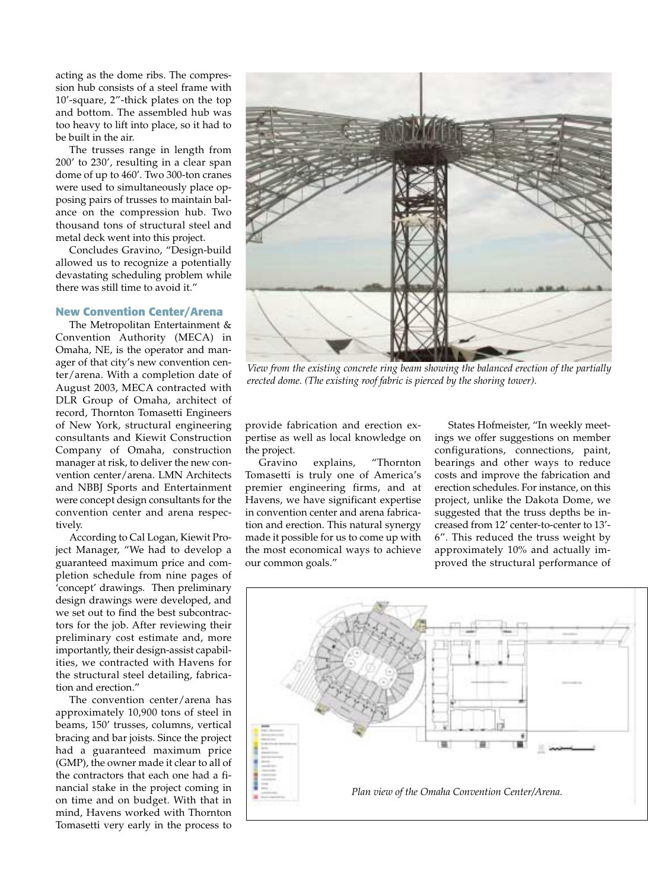acting as the dome ribs. The compression hub consists of a steel frame with 10'-square, 2"-thick plates on the top and bottom. The assembled hub was too heavy to lift into place, so it had to be built in the air.

The trusses range in length from 200' to 230', resulting in a clear span dome of up to 460'. Two 300-ton cranes were used to simultaneously place opposing pairs of trusses to maintain balance on the compression hub. Two thousand tons of structural steel and metal deck went into this project.

Concludes Gravino, "Design-build allowed us to recognize a potentially devastating scheduling problem while there was still time to avoid it."

### **New Convention Center/Arena**

The Metropolitan Entertainment & Convention Authority (MECA) in Omaha, NE, is the operator and manager of that city's new convention center/arena. With a completion date of August 2003, MECA contracted with DLR Group of Omaha, architect of record, Thornton Tomasetti Engineers of New York, structural engineering consultants and Kiewit Construction Company of Omaha, construction manager at risk, to deliver the new convention center/arena. LMN Architects and NBBJ Sports and Entertainment were concept design consultants for the convention center and arena respectively.

According to Cal Logan, Kiewit Project Manager, "We had to develop a guaranteed maximum price and completion schedule from nine pages of 'concept' drawings. Then preliminary design drawings were developed, and we set out to find the best subcontractors for the job. After reviewing their preliminary cost estimate and, more importantly, their design-assist capabilities, we contracted with Havens for the structural steel detailing, fabrication and erection."

The convention center/arena has approximately 10,900 tons of steel in beams, 150' trusses, columns, vertical bracing and bar joists. Since the project had a guaranteed maximum price (GMP), the owner made it clear to all of the contractors that each one had a financial stake in the project coming in on time and on budget. With that in mind, Havens worked with Thornton Tomasetti very early in the process to



*View from the existing concrete ring beam showing the balanced erection of the partially erected dome. (The existing roof fabric is pierced by the shoring tower).*

provide fabrication and erection expertise as well as local knowledge on the project.

Gravino explains, "Thornton Tomasetti is truly one of America's premier engineering firms, and at Havens, we have significant expertise in convention center and arena fabrication and erection. This natural synergy made it possible for us to come up with the most economical ways to achieve our common goals."

States Hofmeister, "In weekly meetings we offer suggestions on member configurations, connections, paint, bearings and other ways to reduce costs and improve the fabrication and erection schedules. For instance, on this project, unlike the Dakota Dome, we suggested that the truss depths be increased from 12' center-to-center to 13'- 6". This reduced the truss weight by approximately 10% and actually improved the structural performance of